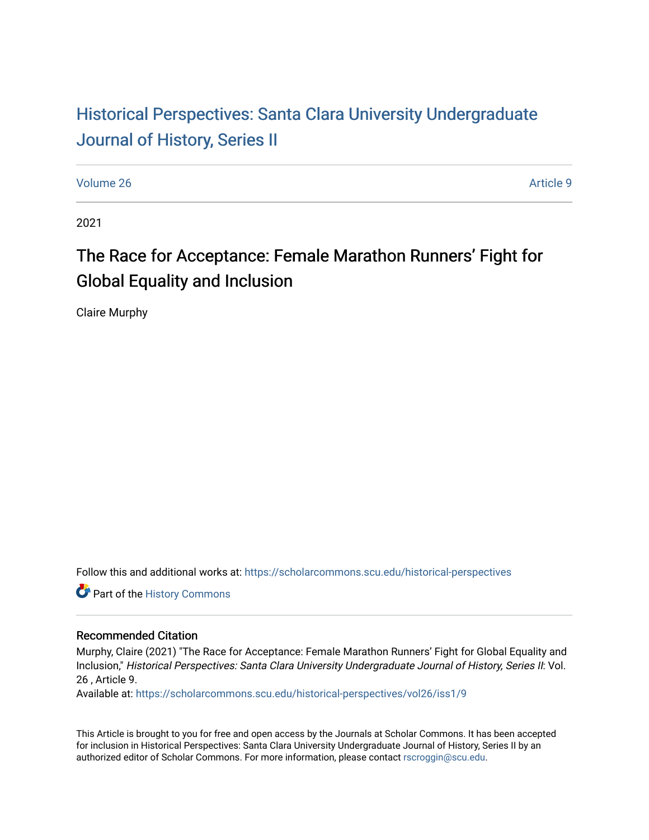## Historical Perspectiv[es: Santa Clara University Under](https://scholarcommons.scu.edu/historical-perspectives)graduate [Journal of History, Series II](https://scholarcommons.scu.edu/historical-perspectives)

[Volume 26](https://scholarcommons.scu.edu/historical-perspectives/vol26) Article 9

2021

# The Race for Acceptance: Female Marathon Runners' Fight for Global Equality and Inclusion

Claire Murphy

Follow this and additional works at: [https://scholarcommons.scu.edu/historical-perspectives](https://scholarcommons.scu.edu/historical-perspectives?utm_source=scholarcommons.scu.edu%2Fhistorical-perspectives%2Fvol26%2Fiss1%2F9&utm_medium=PDF&utm_campaign=PDFCoverPages) 

Part of the [History Commons](http://network.bepress.com/hgg/discipline/489?utm_source=scholarcommons.scu.edu%2Fhistorical-perspectives%2Fvol26%2Fiss1%2F9&utm_medium=PDF&utm_campaign=PDFCoverPages) 

#### Recommended Citation

Murphy, Claire (2021) "The Race for Acceptance: Female Marathon Runners' Fight for Global Equality and Inclusion," Historical Perspectives: Santa Clara University Undergraduate Journal of History, Series II: Vol. 26 , Article 9.

Available at: [https://scholarcommons.scu.edu/historical-perspectives/vol26/iss1/9](https://scholarcommons.scu.edu/historical-perspectives/vol26/iss1/9?utm_source=scholarcommons.scu.edu%2Fhistorical-perspectives%2Fvol26%2Fiss1%2F9&utm_medium=PDF&utm_campaign=PDFCoverPages) 

This Article is brought to you for free and open access by the Journals at Scholar Commons. It has been accepted for inclusion in Historical Perspectives: Santa Clara University Undergraduate Journal of History, Series II by an authorized editor of Scholar Commons. For more information, please contact [rscroggin@scu.edu](mailto:rscroggin@scu.edu).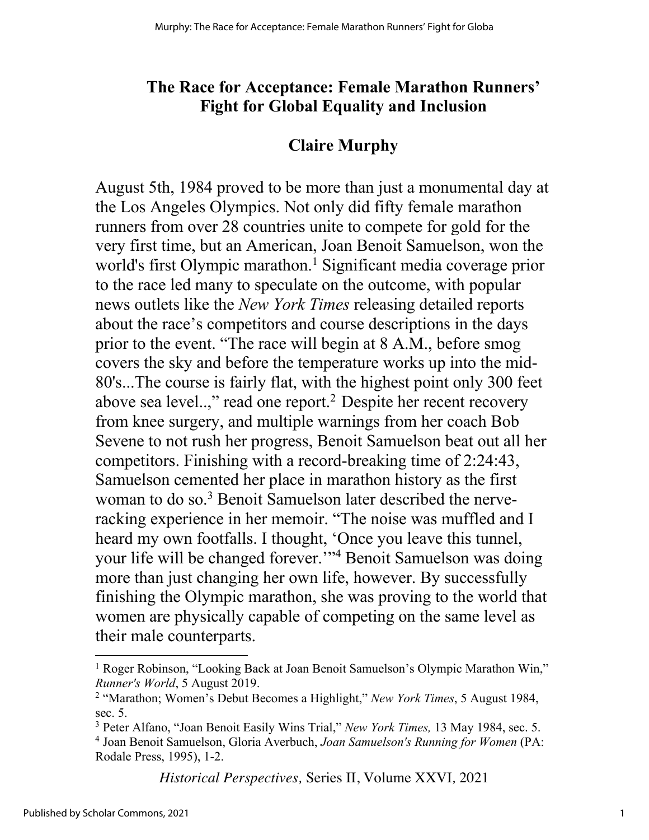### **The Race for Acceptance: Female Marathon Runners' Fight for Global Equality and Inclusion**

#### **Claire Murphy**

August 5th, 1984 proved to be more than just a monumental day at the Los Angeles Olympics. Not only did fifty female marathon runners from over 28 countries unite to compete for gold for the very first time, but an American, Joan Benoit Samuelson, won the world's first Olympic marathon.<sup>1</sup> Significant media coverage prior to the race led many to speculate on the outcome, with popular news outlets like the *New York Times* releasing detailed reports about the race's competitors and course descriptions in the days prior to the event. "The race will begin at 8 A.M., before smog covers the sky and before the temperature works up into the mid-80's...The course is fairly flat, with the highest point only 300 feet above sea level..," read one report.<sup>2</sup> Despite her recent recovery from knee surgery, and multiple warnings from her coach Bob Sevene to not rush her progress, Benoit Samuelson beat out all her competitors. Finishing with a record-breaking time of 2:24:43, Samuelson cemented her place in marathon history as the first woman to do so.<sup>3</sup> Benoit Samuelson later described the nerveracking experience in her memoir. "The noise was muffled and I heard my own footfalls. I thought, 'Once you leave this tunnel, your life will be changed forever.'"4 Benoit Samuelson was doing more than just changing her own life, however. By successfully finishing the Olympic marathon, she was proving to the world that women are physically capable of competing on the same level as their male counterparts.

*Historical Perspectives,* Series II, Volume XXVI*,* 2021

<sup>&</sup>lt;sup>1</sup> Roger Robinson, "Looking Back at Joan Benoit Samuelson's Olympic Marathon Win," *Runner's World*, 5 August 2019.

<sup>2</sup> "Marathon; Women's Debut Becomes a Highlight," *New York Times*, 5 August 1984, sec. 5.

<sup>3</sup> Peter Alfano, "Joan Benoit Easily Wins Trial," *New York Times,* 13 May 1984, sec. 5. <sup>4</sup> Joan Benoit Samuelson, Gloria Averbuch, *Joan Samuelson's Running for Women* (PA: Rodale Press, 1995), 1-2.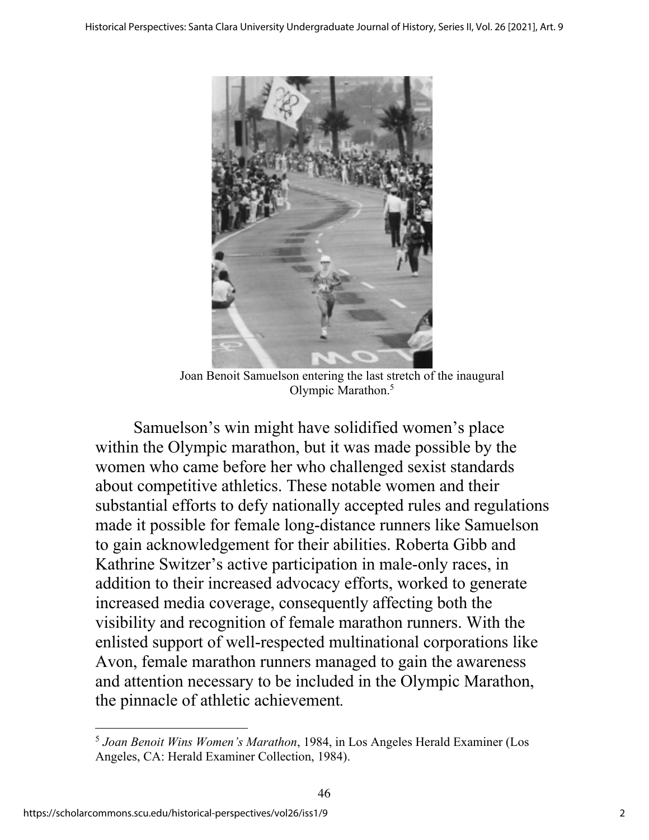

Joan Benoit Samuelson entering the last stretch of the inaugural Olympic Marathon.5

Samuelson's win might have solidified women's place within the Olympic marathon, but it was made possible by the women who came before her who challenged sexist standards about competitive athletics. These notable women and their substantial efforts to defy nationally accepted rules and regulations made it possible for female long-distance runners like Samuelson to gain acknowledgement for their abilities. Roberta Gibb and Kathrine Switzer's active participation in male-only races, in addition to their increased advocacy efforts, worked to generate increased media coverage, consequently affecting both the visibility and recognition of female marathon runners. With the enlisted support of well-respected multinational corporations like Avon, female marathon runners managed to gain the awareness and attention necessary to be included in the Olympic Marathon, the pinnacle of athletic achievement*.* 

<sup>5</sup> *Joan Benoit Wins Women's Marathon*, 1984, in Los Angeles Herald Examiner (Los Angeles, CA: Herald Examiner Collection, 1984).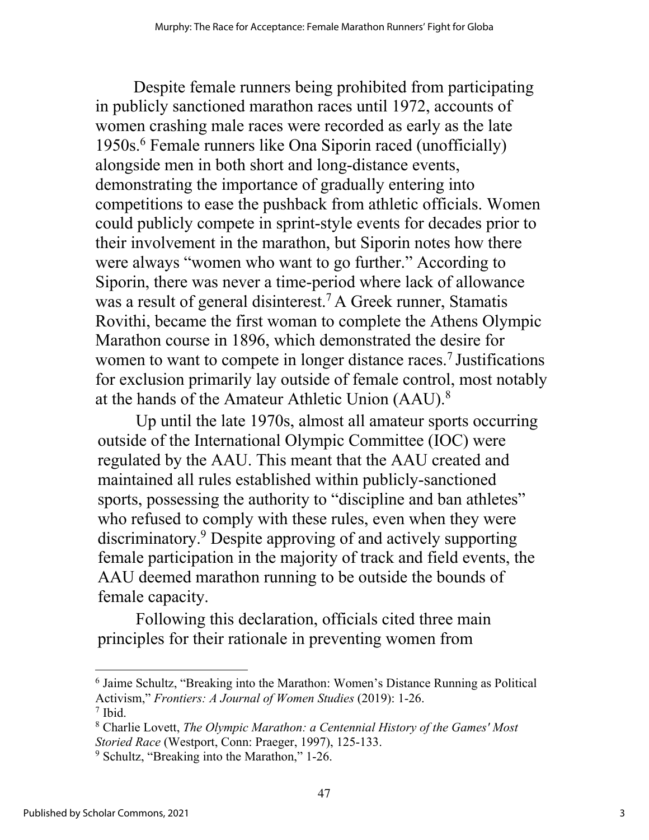Despite female runners being prohibited from participating in publicly sanctioned marathon races until 1972, accounts of women crashing male races were recorded as early as the late 1950s. <sup>6</sup> Female runners like Ona Siporin raced (unofficially) alongside men in both short and long-distance events, demonstrating the importance of gradually entering into competitions to ease the pushback from athletic officials. Women could publicly compete in sprint-style events for decades prior to their involvement in the marathon, but Siporin notes how there were always "women who want to go further." According to Siporin, there was never a time-period where lack of allowance was a result of general disinterest.<sup>7</sup> A Greek runner, Stamatis Rovithi, became the first woman to complete the Athens Olympic Marathon course in 1896, which demonstrated the desire for women to want to compete in longer distance races.<sup>7</sup> Justifications for exclusion primarily lay outside of female control, most notably at the hands of the Amateur Athletic Union (AAU).<sup>8</sup>

Up until the late 1970s, almost all amateur sports occurring outside of the International Olympic Committee (IOC) were regulated by the AAU. This meant that the AAU created and maintained all rules established within publicly-sanctioned sports, possessing the authority to "discipline and ban athletes" who refused to comply with these rules, even when they were discriminatory. <sup>9</sup> Despite approving of and actively supporting female participation in the majority of track and field events, the AAU deemed marathon running to be outside the bounds of female capacity.

Following this declaration, officials cited three main principles for their rationale in preventing women from

<sup>6</sup> Jaime Schultz, "Breaking into the Marathon: Women's Distance Running as Political Activism," *Frontiers: A Journal of Women Studies* (2019): 1-26. <sup>7</sup> Ibid.

<sup>8</sup> Charlie Lovett, *The Olympic Marathon: a Centennial History of the Games' Most Storied Race* (Westport, Conn: Praeger, 1997), 125-133.

<sup>&</sup>lt;sup>9</sup> Schultz, "Breaking into the Marathon," 1-26.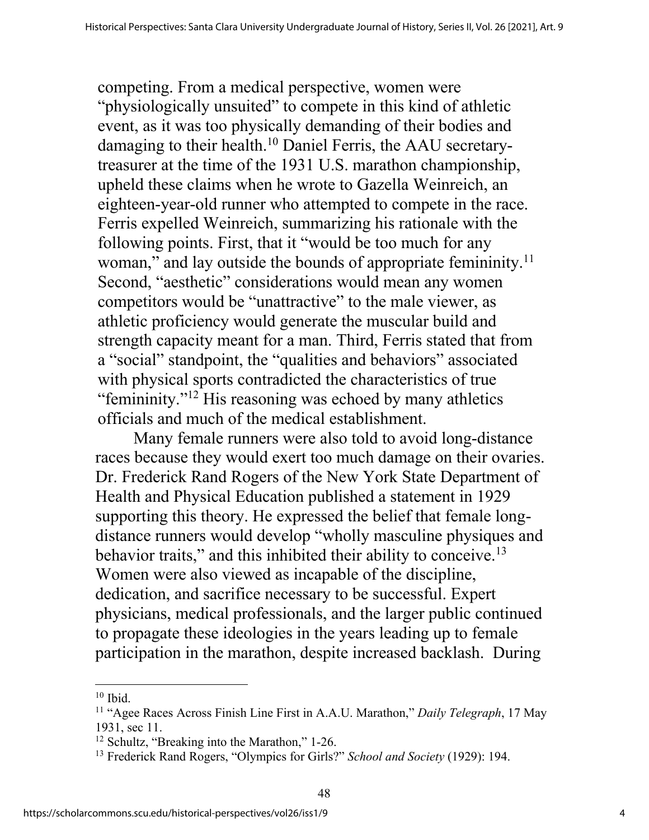competing. From a medical perspective, women were "physiologically unsuited" to compete in this kind of athletic event, as it was too physically demanding of their bodies and damaging to their health.<sup>10</sup> Daniel Ferris, the AAU secretarytreasurer at the time of the 1931 U.S. marathon championship, upheld these claims when he wrote to Gazella Weinreich, an eighteen-year-old runner who attempted to compete in the race. Ferris expelled Weinreich, summarizing his rationale with the following points. First, that it "would be too much for any woman," and lay outside the bounds of appropriate femininity.<sup>11</sup> Second, "aesthetic" considerations would mean any women competitors would be "unattractive" to the male viewer, as athletic proficiency would generate the muscular build and strength capacity meant for a man. Third, Ferris stated that from a "social" standpoint, the "qualities and behaviors" associated with physical sports contradicted the characteristics of true "femininity."12 His reasoning was echoed by many athletics officials and much of the medical establishment.

Many female runners were also told to avoid long-distance races because they would exert too much damage on their ovaries. Dr. Frederick Rand Rogers of the New York State Department of Health and Physical Education published a statement in 1929 supporting this theory. He expressed the belief that female longdistance runners would develop "wholly masculine physiques and behavior traits," and this inhibited their ability to conceive.<sup>13</sup> Women were also viewed as incapable of the discipline, dedication, and sacrifice necessary to be successful. Expert physicians, medical professionals, and the larger public continued to propagate these ideologies in the years leading up to female participation in the marathon, despite increased backlash. During

 $10$  Ibid.

<sup>11</sup> "Agee Races Across Finish Line First in A.A.U. Marathon," *Daily Telegraph*, 17 May 1931, sec 11.

<sup>12</sup> Schultz, "Breaking into the Marathon," 1-26.

<sup>13</sup> Frederick Rand Rogers, "Olympics for Girls?" *School and Society* (1929): 194.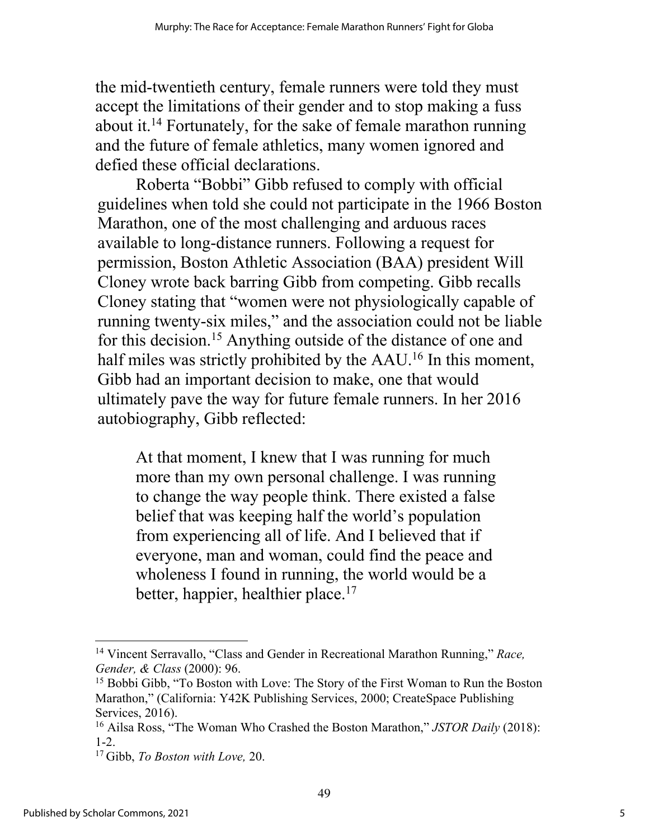the mid-twentieth century, female runners were told they must accept the limitations of their gender and to stop making a fuss about it.14 Fortunately, for the sake of female marathon running and the future of female athletics, many women ignored and defied these official declarations.

Roberta "Bobbi" Gibb refused to comply with official guidelines when told she could not participate in the 1966 Boston Marathon, one of the most challenging and arduous races available to long-distance runners. Following a request for permission, Boston Athletic Association (BAA) president Will Cloney wrote back barring Gibb from competing. Gibb recalls Cloney stating that "women were not physiologically capable of running twenty-six miles," and the association could not be liable for this decision. <sup>15</sup> Anything outside of the distance of one and half miles was strictly prohibited by the AAU.<sup>16</sup> In this moment, Gibb had an important decision to make, one that would ultimately pave the way for future female runners. In her 2016 autobiography, Gibb reflected:

At that moment, I knew that I was running for much more than my own personal challenge. I was running to change the way people think. There existed a false belief that was keeping half the world's population from experiencing all of life. And I believed that if everyone, man and woman, could find the peace and wholeness I found in running, the world would be a better, happier, healthier place.<sup>17</sup>

<sup>14</sup> Vincent Serravallo, "Class and Gender in Recreational Marathon Running," *Race, Gender, & Class* (2000): 96.

<sup>&</sup>lt;sup>15</sup> Bobbi Gibb, "To Boston with Love: The Story of the First Woman to Run the Boston Marathon," (California: Y42K Publishing Services, 2000; CreateSpace Publishing Services, 2016).

<sup>16</sup> Ailsa Ross, "The Woman Who Crashed the Boston Marathon," *JSTOR Daily* (2018): 1-2.

<sup>17</sup> Gibb, *To Boston with Love,* 20.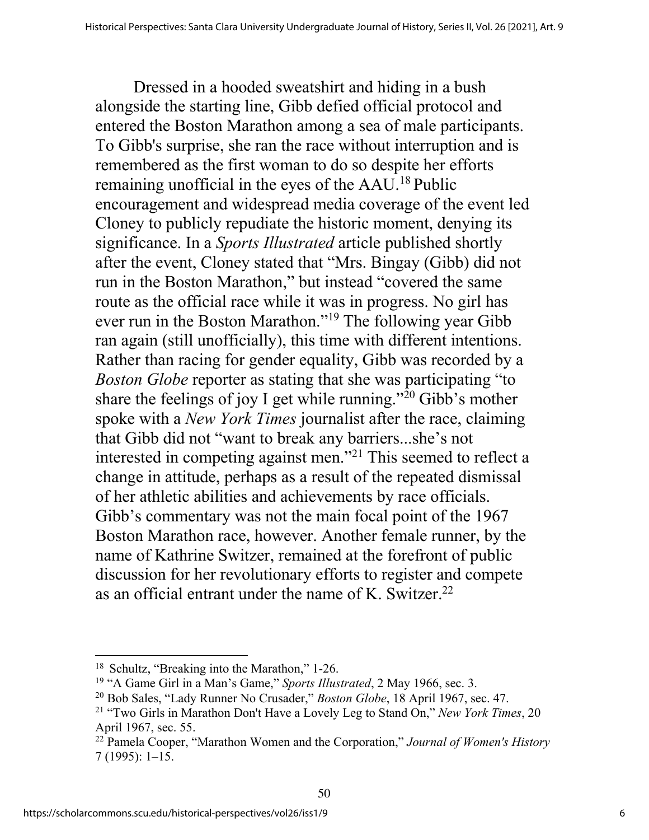Dressed in a hooded sweatshirt and hiding in a bush alongside the starting line, Gibb defied official protocol and entered the Boston Marathon among a sea of male participants. To Gibb's surprise, she ran the race without interruption and is remembered as the first woman to do so despite her efforts remaining unofficial in the eyes of the AAU.18 Public encouragement and widespread media coverage of the event led Cloney to publicly repudiate the historic moment, denying its significance. In a *Sports Illustrated* article published shortly after the event, Cloney stated that "Mrs. Bingay (Gibb) did not run in the Boston Marathon," but instead "covered the same route as the official race while it was in progress. No girl has ever run in the Boston Marathon."19 The following year Gibb ran again (still unofficially), this time with different intentions. Rather than racing for gender equality, Gibb was recorded by a *Boston Globe* reporter as stating that she was participating "to share the feelings of joy I get while running."<sup>20</sup> Gibb's mother spoke with a *New York Times* journalist after the race, claiming that Gibb did not "want to break any barriers...she's not interested in competing against men."21 This seemed to reflect a change in attitude, perhaps as a result of the repeated dismissal of her athletic abilities and achievements by race officials. Gibb's commentary was not the main focal point of the 1967 Boston Marathon race, however. Another female runner, by the name of Kathrine Switzer, remained at the forefront of public discussion for her revolutionary efforts to register and compete as an official entrant under the name of K. Switzer.<sup>22</sup>

<sup>18</sup> Schultz, "Breaking into the Marathon," 1-26.

<sup>19</sup> "A Game Girl in a Man's Game," *Sports Illustrated*, 2 May 1966, sec. 3.

<sup>20</sup> Bob Sales, "Lady Runner No Crusader," *Boston Globe*, 18 April 1967, sec. 47.

<sup>21</sup> "Two Girls in Marathon Don't Have a Lovely Leg to Stand On," *New York Times*, 20 April 1967, sec. 55.

<sup>22</sup> Pamela Cooper, "Marathon Women and the Corporation," *Journal of Women's History*  7 (1995): 1–15.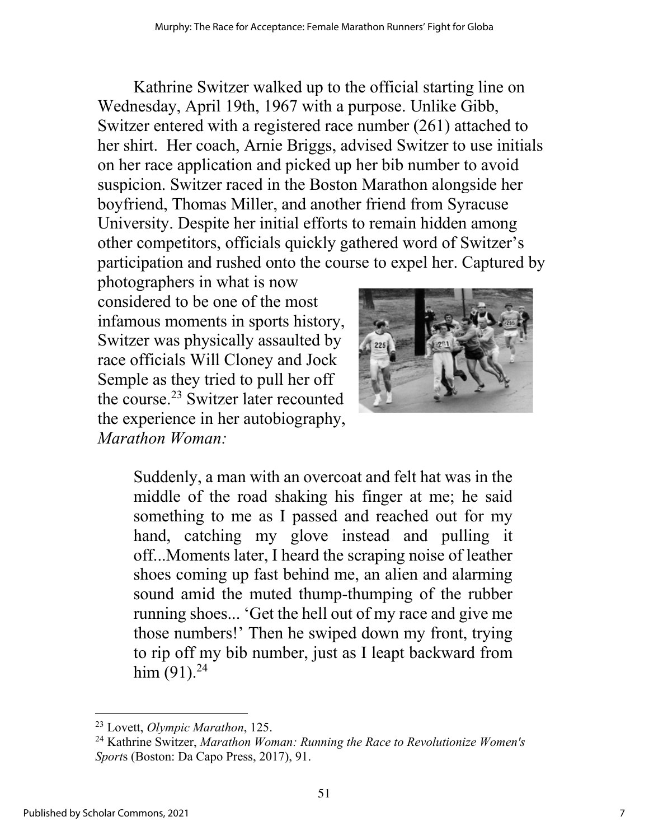Kathrine Switzer walked up to the official starting line on Wednesday, April 19th, 1967 with a purpose. Unlike Gibb, Switzer entered with a registered race number (261) attached to her shirt. Her coach, Arnie Briggs, advised Switzer to use initials on her race application and picked up her bib number to avoid suspicion. Switzer raced in the Boston Marathon alongside her boyfriend, Thomas Miller, and another friend from Syracuse University. Despite her initial efforts to remain hidden among other competitors, officials quickly gathered word of Switzer's participation and rushed onto the course to expel her. Captured by

photographers in what is now considered to be one of the most infamous moments in sports history, Switzer was physically assaulted by race officials Will Cloney and Jock Semple as they tried to pull her off the course. <sup>23</sup> Switzer later recounted the experience in her autobiography, *Marathon Woman:*



Suddenly, a man with an overcoat and felt hat was in the middle of the road shaking his finger at me; he said something to me as I passed and reached out for my hand, catching my glove instead and pulling it off...Moments later, I heard the scraping noise of leather shoes coming up fast behind me, an alien and alarming sound amid the muted thump-thumping of the rubber running shoes... 'Get the hell out of my race and give me those numbers!' Then he swiped down my front, trying to rip off my bib number, just as I leapt backward from him (91).<sup>24</sup>

<sup>23</sup> Lovett, *Olympic Marathon*, 125.

<sup>24</sup> Kathrine Switzer, *Marathon Woman: Running the Race to Revolutionize Women's Sport*s (Boston: Da Capo Press, 2017), 91.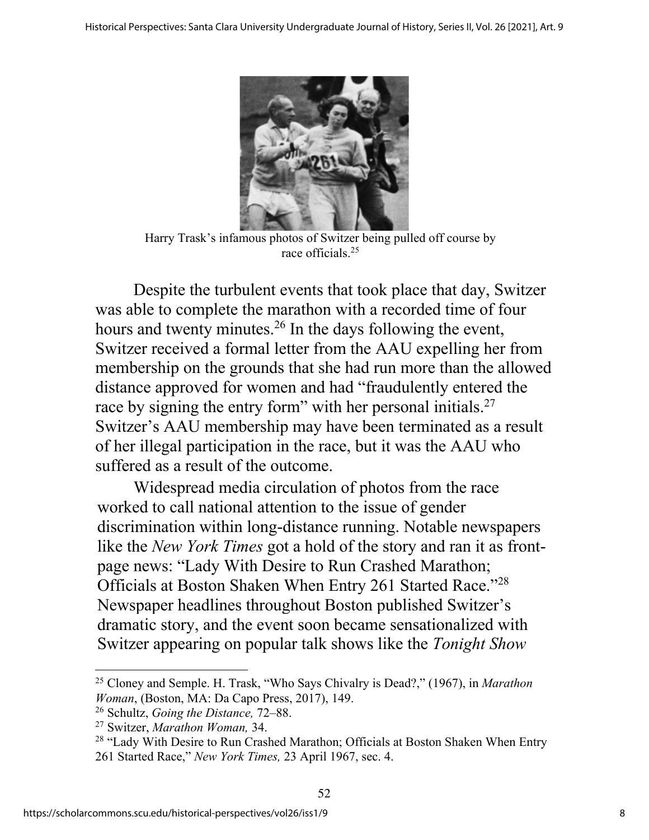

Harry Trask's infamous photos of Switzer being pulled off course by race officials. 25

Despite the turbulent events that took place that day, Switzer was able to complete the marathon with a recorded time of four hours and twenty minutes.<sup>26</sup> In the days following the event, Switzer received a formal letter from the AAU expelling her from membership on the grounds that she had run more than the allowed distance approved for women and had "fraudulently entered the race by signing the entry form" with her personal initials.<sup>27</sup> Switzer's AAU membership may have been terminated as a result of her illegal participation in the race, but it was the AAU who suffered as a result of the outcome.

Widespread media circulation of photos from the race worked to call national attention to the issue of gender discrimination within long-distance running. Notable newspapers like the *New York Times* got a hold of the story and ran it as frontpage news: "Lady With Desire to Run Crashed Marathon; Officials at Boston Shaken When Entry 261 Started Race."28 Newspaper headlines throughout Boston published Switzer's dramatic story, and the event soon became sensationalized with Switzer appearing on popular talk shows like the *Tonight Show* 

<sup>25</sup> Cloney and Semple. H. Trask, "Who Says Chivalry is Dead?," (1967), in *Marathon Woman*, (Boston, MA: Da Capo Press, 2017), 149.

<sup>26</sup> Schultz, *Going the Distance,* 72–88.

<sup>27</sup> Switzer, *Marathon Woman,* 34.

<sup>&</sup>lt;sup>28</sup> "Lady With Desire to Run Crashed Marathon; Officials at Boston Shaken When Entry 261 Started Race," *New York Times,* 23 April 1967, sec. 4.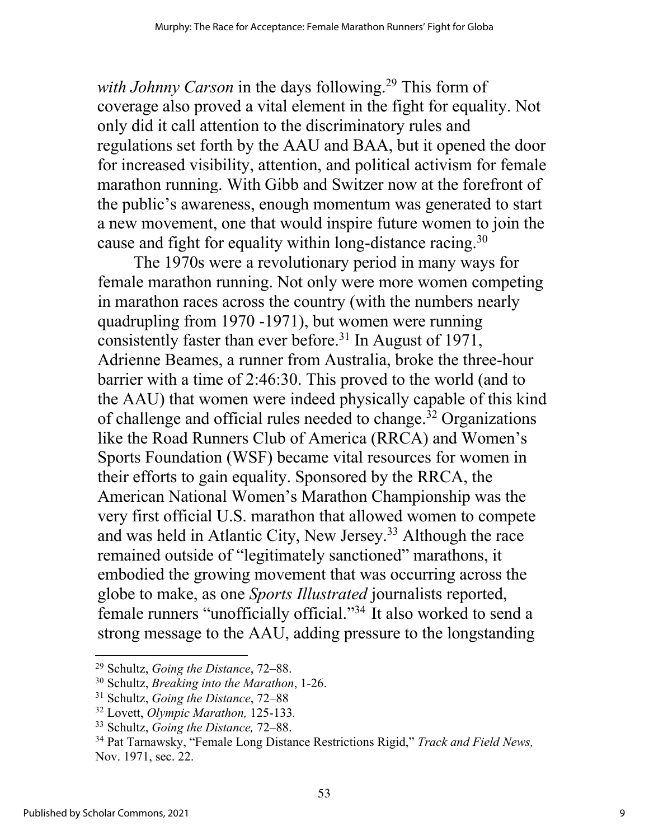*with Johnny Carson* in the days following.<sup>29</sup> This form of coverage also proved a vital element in the fight for equality. Not only did it call attention to the discriminatory rules and regulations set forth by the AAU and BAA, but it opened the door for increased visibility, attention, and political activism for female marathon running. With Gibb and Switzer now at the forefront of the public's awareness, enough momentum was generated to start a new movement, one that would inspire future women to join the cause and fight for equality within long-distance racing.<sup>30</sup>

The 1970s were a revolutionary period in many ways for female marathon running. Not only were more women competing in marathon races across the country (with the numbers nearly quadrupling from 1970 -1971), but women were running consistently faster than ever before. <sup>31</sup> In August of 1971, Adrienne Beames, a runner from Australia, broke the three-hour barrier with a time of 2:46:30. This proved to the world (and to the AAU) that women were indeed physically capable of this kind of challenge and official rules needed to change. <sup>32</sup> Organizations like the Road Runners Club of America (RRCA) and Women's Sports Foundation (WSF) became vital resources for women in their efforts to gain equality. Sponsored by the RRCA, the American National Women's Marathon Championship was the very first official U.S. marathon that allowed women to compete and was held in Atlantic City, New Jersey. <sup>33</sup> Although the race remained outside of "legitimately sanctioned" marathons, it embodied the growing movement that was occurring across the globe to make, as one *Sports Illustrated* journalists reported, female runners "unofficially official."34 It also worked to send a strong message to the AAU, adding pressure to the longstanding

<sup>29</sup> Schultz, *Going the Distance*, 72–88.

<sup>30</sup> Schultz, *Breaking into the Marathon*, 1-26.

<sup>31</sup> Schultz, *Going the Distance*, 72–88

<sup>32</sup> Lovett, *Olympic Marathon,* 125-133*.*

<sup>33</sup> Schultz, *Going the Distance,* 72–88.

<sup>34</sup> Pat Tarnawsky, "Female Long Distance Restrictions Rigid," *Track and Field News,*  Nov. 1971, sec. 22.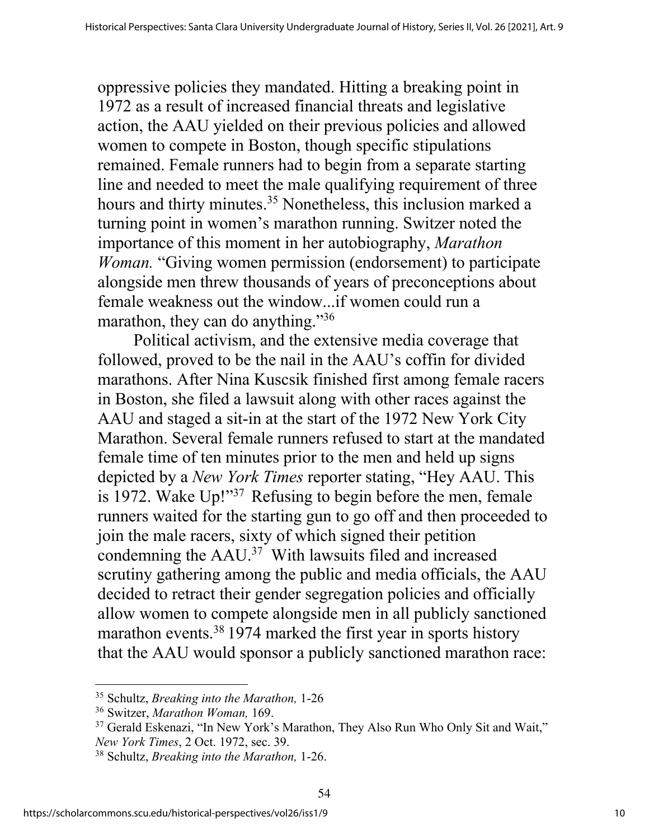oppressive policies they mandated. Hitting a breaking point in 1972 as a result of increased financial threats and legislative action, the AAU yielded on their previous policies and allowed women to compete in Boston, though specific stipulations remained. Female runners had to begin from a separate starting line and needed to meet the male qualifying requirement of three hours and thirty minutes.<sup>35</sup> Nonetheless, this inclusion marked a turning point in women's marathon running. Switzer noted the importance of this moment in her autobiography, *Marathon Woman.* "Giving women permission (endorsement) to participate alongside men threw thousands of years of preconceptions about female weakness out the window...if women could run a marathon, they can do anything."<sup>36</sup>

Political activism, and the extensive media coverage that followed, proved to be the nail in the AAU's coffin for divided marathons. After Nina Kuscsik finished first among female racers in Boston, she filed a lawsuit along with other races against the AAU and staged a sit-in at the start of the 1972 New York City Marathon. Several female runners refused to start at the mandated female time of ten minutes prior to the men and held up signs depicted by a *New York Times* reporter stating, "Hey AAU. This is 1972. Wake Up!"37 Refusing to begin before the men, female runners waited for the starting gun to go off and then proceeded to join the male racers, sixty of which signed their petition condemning the AAU.37 With lawsuits filed and increased scrutiny gathering among the public and media officials, the AAU decided to retract their gender segregation policies and officially allow women to compete alongside men in all publicly sanctioned marathon events.<sup>38</sup> 1974 marked the first year in sports history that the AAU would sponsor a publicly sanctioned marathon race:

<sup>35</sup> Schultz, *Breaking into the Marathon,* 1-26

<sup>36</sup> Switzer, *Marathon Woman,* 169.

<sup>37</sup> Gerald Eskenazi, "In New York's Marathon, They Also Run Who Only Sit and Wait," *New York Times*, 2 Oct. 1972, sec. 39.

<sup>38</sup> Schultz, *Breaking into the Marathon,* 1-26.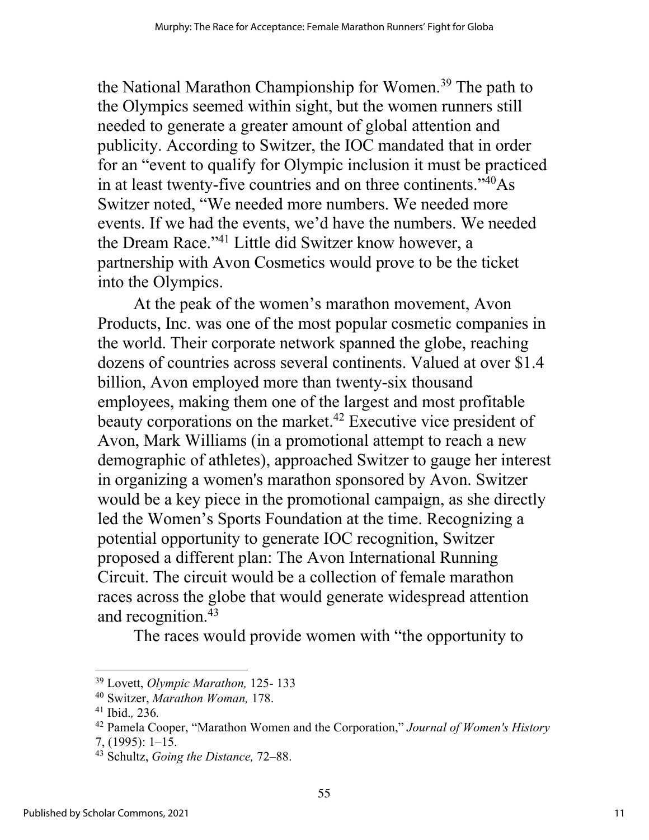the National Marathon Championship for Women. <sup>39</sup> The path to the Olympics seemed within sight, but the women runners still needed to generate a greater amount of global attention and publicity. According to Switzer, the IOC mandated that in order for an "event to qualify for Olympic inclusion it must be practiced in at least twenty-five countries and on three continents."40As Switzer noted, "We needed more numbers. We needed more events. If we had the events, we'd have the numbers. We needed the Dream Race."41 Little did Switzer know however, a partnership with Avon Cosmetics would prove to be the ticket into the Olympics.

At the peak of the women's marathon movement, Avon Products, Inc. was one of the most popular cosmetic companies in the world. Their corporate network spanned the globe, reaching dozens of countries across several continents. Valued at over \$1.4 billion, Avon employed more than twenty-six thousand employees, making them one of the largest and most profitable beauty corporations on the market.<sup>42</sup> Executive vice president of Avon, Mark Williams (in a promotional attempt to reach a new demographic of athletes), approached Switzer to gauge her interest in organizing a women's marathon sponsored by Avon. Switzer would be a key piece in the promotional campaign, as she directly led the Women's Sports Foundation at the time. Recognizing a potential opportunity to generate IOC recognition, Switzer proposed a different plan: The Avon International Running Circuit. The circuit would be a collection of female marathon races across the globe that would generate widespread attention and recognition. 43

The races would provide women with "the opportunity to

<sup>39</sup> Lovett, *Olympic Marathon,* 125- 133

<sup>40</sup> Switzer, *Marathon Woman,* 178.

<sup>41</sup> Ibid.*,* 236*.*

<sup>42</sup> Pamela Cooper, "Marathon Women and the Corporation," *Journal of Women's History*  7, (1995): 1–15.

<sup>43</sup> Schultz, *Going the Distance,* 72–88.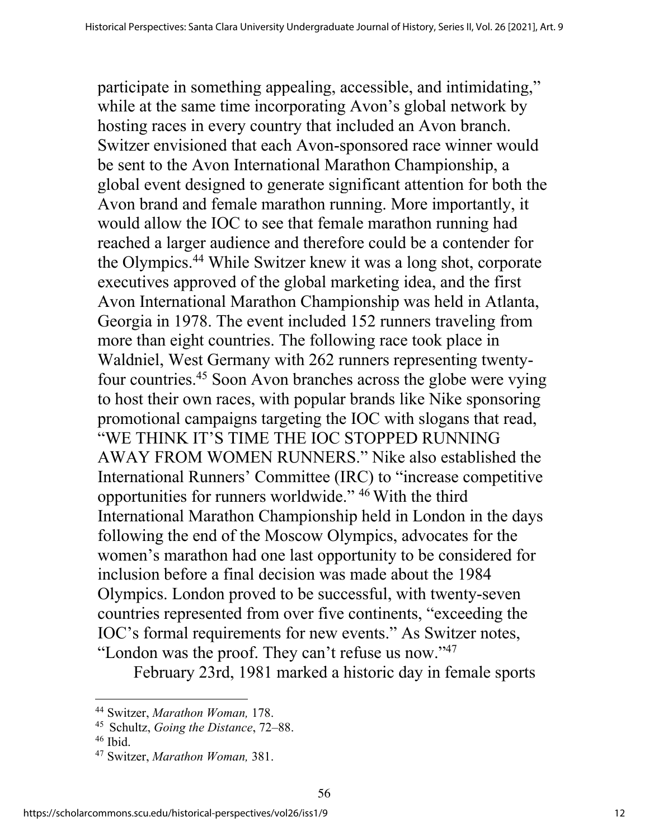participate in something appealing, accessible, and intimidating," while at the same time incorporating Avon's global network by hosting races in every country that included an Avon branch. Switzer envisioned that each Avon-sponsored race winner would be sent to the Avon International Marathon Championship, a global event designed to generate significant attention for both the Avon brand and female marathon running. More importantly, it would allow the IOC to see that female marathon running had reached a larger audience and therefore could be a contender for the Olympics. <sup>44</sup> While Switzer knew it was a long shot, corporate executives approved of the global marketing idea, and the first Avon International Marathon Championship was held in Atlanta, Georgia in 1978. The event included 152 runners traveling from more than eight countries. The following race took place in Waldniel, West Germany with 262 runners representing twentyfour countries. <sup>45</sup> Soon Avon branches across the globe were vying to host their own races, with popular brands like Nike sponsoring promotional campaigns targeting the IOC with slogans that read, "WE THINK IT'S TIME THE IOC STOPPED RUNNING AWAY FROM WOMEN RUNNERS." Nike also established the International Runners' Committee (IRC) to "increase competitive opportunities for runners worldwide." 46 With the third International Marathon Championship held in London in the days following the end of the Moscow Olympics, advocates for the women's marathon had one last opportunity to be considered for inclusion before a final decision was made about the 1984 Olympics. London proved to be successful, with twenty-seven countries represented from over five continents, "exceeding the IOC's formal requirements for new events." As Switzer notes, "London was the proof. They can't refuse us now."<sup>47</sup>

February 23rd, 1981 marked a historic day in female sports

<sup>44</sup> Switzer, *Marathon Woman,* 178.

<sup>45</sup> Schultz, *Going the Distance*, 72–88.

 $46$  Ibid.

<sup>47</sup> Switzer, *Marathon Woman,* 381.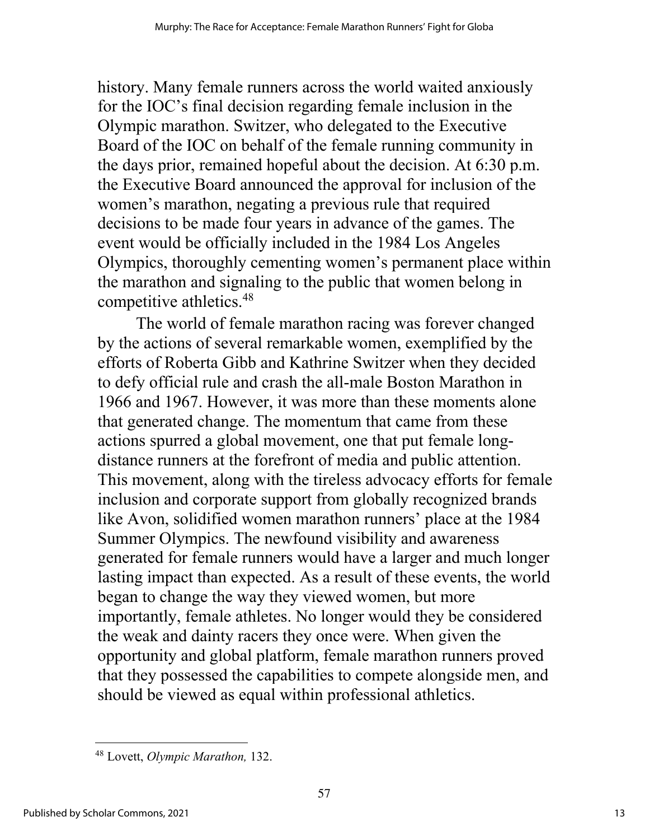history. Many female runners across the world waited anxiously for the IOC's final decision regarding female inclusion in the Olympic marathon. Switzer, who delegated to the Executive Board of the IOC on behalf of the female running community in the days prior, remained hopeful about the decision. At 6:30 p.m. the Executive Board announced the approval for inclusion of the women's marathon, negating a previous rule that required decisions to be made four years in advance of the games. The event would be officially included in the 1984 Los Angeles Olympics, thoroughly cementing women's permanent place within the marathon and signaling to the public that women belong in competitive athletics. 48

The world of female marathon racing was forever changed by the actions of several remarkable women, exemplified by the efforts of Roberta Gibb and Kathrine Switzer when they decided to defy official rule and crash the all-male Boston Marathon in 1966 and 1967. However, it was more than these moments alone that generated change. The momentum that came from these actions spurred a global movement, one that put female longdistance runners at the forefront of media and public attention. This movement, along with the tireless advocacy efforts for female inclusion and corporate support from globally recognized brands like Avon, solidified women marathon runners' place at the 1984 Summer Olympics. The newfound visibility and awareness generated for female runners would have a larger and much longer lasting impact than expected. As a result of these events, the world began to change the way they viewed women, but more importantly, female athletes. No longer would they be considered the weak and dainty racers they once were. When given the opportunity and global platform, female marathon runners proved that they possessed the capabilities to compete alongside men, and should be viewed as equal within professional athletics.

<sup>48</sup> Lovett, *Olympic Marathon,* 132.